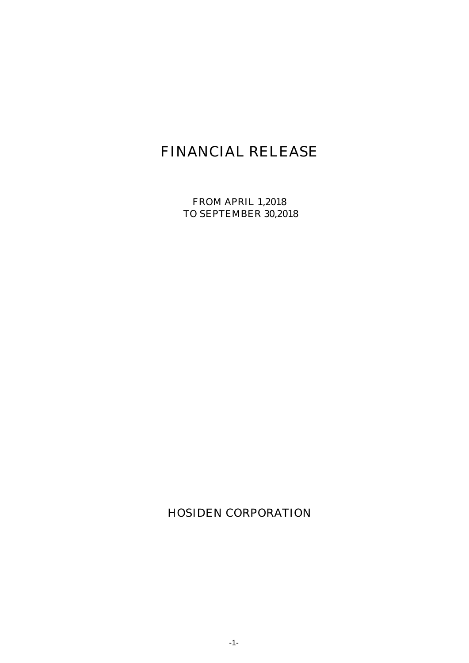# FINANCIAL RELEASE

FROM APRIL 1,2018 TO SEPTEMBER 30,2018

HOSIDEN CORPORATION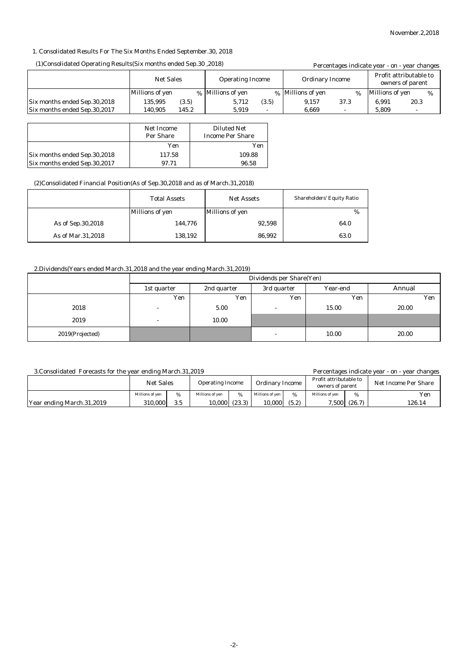#### 1. Consolidated Results For The Six Months Ended September.30, 2018

#### (1)Consolidated Operating Results(Six months ended Sep.30 ,2018)

| (1) Consolidated Operating Results (Six months ended Sep. 30, 2018) |                  |       |                         |       | Percentages indicate year - on - year changes |      |                 |                                            |
|---------------------------------------------------------------------|------------------|-------|-------------------------|-------|-----------------------------------------------|------|-----------------|--------------------------------------------|
|                                                                     | <b>Net Sales</b> |       | <b>Operating Income</b> |       | <b>Ordinary Income</b>                        |      |                 | Profit attributable to<br>owners of parent |
|                                                                     | Millions of yen  |       | % Millions of yen       |       | % Millions of yen                             | $\%$ | Millions of yen | $\%$                                       |
| Six months ended Sep.30,2018                                        | 135.995          | (3.5) | 5.712                   | (3.5) | 9.157                                         | 37.3 | 6.991           | 20.3                                       |
| Six months ended Sep.30,2017                                        | 140.905          | 145.2 | 5.919                   |       | 6.669                                         |      | 5.809           |                                            |

|                              | Net Income<br>Per Share | <b>Diluted Net</b><br><b>Income Per Share</b> |
|------------------------------|-------------------------|-----------------------------------------------|
|                              | Yen                     | Yen                                           |
| Six months ended Sep.30,2018 | 117.58                  | 109.88                                        |
| Six months ended Sep.30,2017 | 97.71                   | 96.58                                         |

#### (2)Consolidated Financial Position(As of Sep.30,2018 and as of March.31,2018)

|                     | <b>Total Assets</b> | <b>Net Assets</b> | <b>Shareholders' Equity Ratio</b> |
|---------------------|---------------------|-------------------|-----------------------------------|
|                     | Millions of yen     | Millions of yen   | %                                 |
| As of Sep. 30, 2018 | 144.776             | 92,598            | 64.0                              |
| As of Mar.31,2018   | 138,192             | 86,992            | 63.0                              |

#### 2.Dividends(Years ended March.31,2018 and the year ending March.31,2019)

|                 | Dividends per Share(Yen) |             |             |          |        |  |
|-----------------|--------------------------|-------------|-------------|----------|--------|--|
|                 | 1st quarter              | 2nd quarter | 3rd quarter | Year-end | Annual |  |
|                 | Yen                      | Yen         | Yen         | Yen      | Yen    |  |
| 2018            | <b>1</b>                 | 5.00        |             | 15.00    | 20.00  |  |
| 2019            | $\overline{a}$           | 10.00       |             |          |        |  |
| 2019(Projected) |                          |             |             | 10.00    | 20.00  |  |

#### 3.Consolidated Forecasts for the year ending March.31,2019

Percentages indicate year - on - year changes

|                           | <b>Net Sales</b> |     | <b>Operating Income</b> |        | <b>Ordinary Income</b> |       | Profit attributable to<br>owners of parent |        | Net Income Per Share |  |
|---------------------------|------------------|-----|-------------------------|--------|------------------------|-------|--------------------------------------------|--------|----------------------|--|
|                           | Millions of ven  |     | Millions of ven         | %      | Millions of ven        | %     | Millions of ven                            | %      | Yen                  |  |
| Year ending March.31,2019 | 310.000          | 3.5 | 10,000                  | (23.3) | 10.000                 | (5.2) | 7,500                                      | (26.7) | 126.14               |  |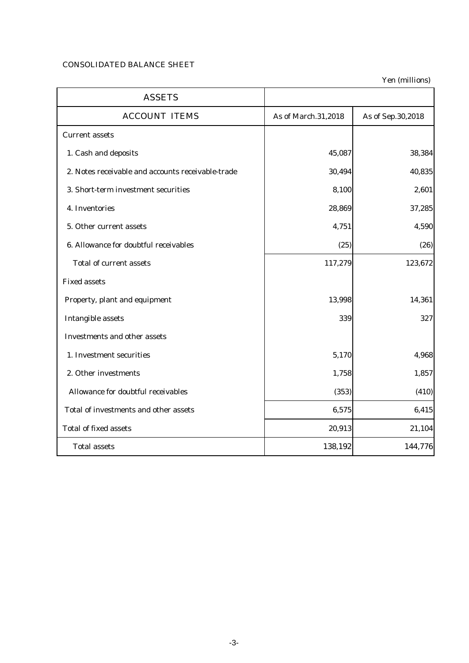## CONSOLIDATED BALANCE SHEET

Yen (millions)

| <b>ASSETS</b>                                     |                     |                   |
|---------------------------------------------------|---------------------|-------------------|
| <b>ACCOUNT ITEMS</b>                              | As of March.31,2018 | As of Sep.30,2018 |
| <b>Current assets</b>                             |                     |                   |
| 1. Cash and deposits                              | 45,087              | 38,384            |
| 2. Notes receivable and accounts receivable-trade | 30,494              | 40,835            |
| 3. Short-term investment securities               | 8,100               | 2,601             |
| 4. Inventories                                    | 28,869              | 37,285            |
| 5. Other current assets                           | 4,751               | 4,590             |
| 6. Allowance for doubtful receivables             | (25)                | (26)              |
| <b>Total of current assets</b>                    | 117,279             | 123,672           |
| <b>Fixed assets</b>                               |                     |                   |
| Property, plant and equipment                     | 13,998              | 14,361            |
| <b>Intangible assets</b>                          | 339                 | 327               |
| <b>Investments and other assets</b>               |                     |                   |
| 1. Investment securities                          | 5,170               | 4,968             |
| 2. Other investments                              | 1,758               | 1,857             |
| Allowance for doubtful receivables                | (353)               | (410)             |
| Total of investments and other assets             | 6,575               | 6,415             |
| <b>Total of fixed assets</b>                      | 20,913              | 21,104            |
| <b>Total assets</b>                               | 138,192             | 144,776           |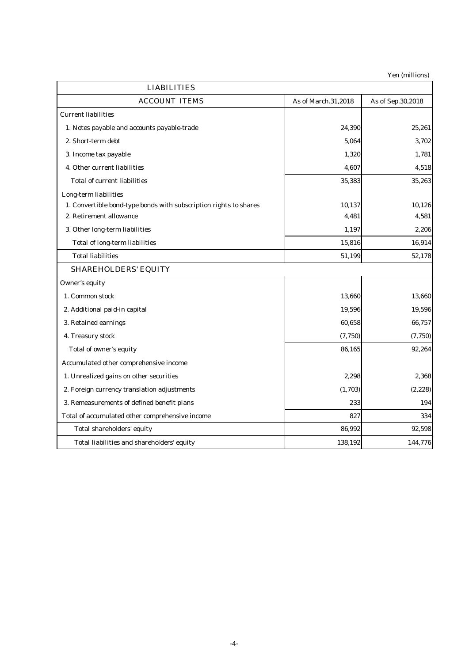Yen (millions)

| <b>LIABILITIES</b>                                                |                     |                   |
|-------------------------------------------------------------------|---------------------|-------------------|
| <b>ACCOUNT ITEMS</b>                                              | As of March.31,2018 | As of Sep.30,2018 |
| <b>Current liabilities</b>                                        |                     |                   |
| 1. Notes payable and accounts payable-trade                       | 24,390              | 25,261            |
| 2. Short-term debt                                                | 5,064               | 3,702             |
| 3. Income tax payable                                             | 1,320               | 1,781             |
| 4. Other current liabilities                                      | 4,607               | 4,518             |
| <b>Total of current liabilities</b>                               | 35,383              | 35,263            |
| Long-term liabilities                                             |                     |                   |
| 1. Convertible bond-type bonds with subscription rights to shares | 10,137              | 10,126            |
| 2. Retirement allowance                                           | 4,481               | 4,581             |
| 3. Other long-term liabilities                                    | 1,197               | 2,206             |
| <b>Total of long-term liabilities</b>                             | 15,816              | 16,914            |
| <b>Total liabilities</b>                                          | 51,199              | 52,178            |
| <b>SHAREHOLDERS' EQUITY</b>                                       |                     |                   |
| Owner's equity                                                    |                     |                   |
| 1. Common stock                                                   | 13,660              | 13,660            |
| 2. Additional paid-in capital                                     | 19,596              | 19,596            |
| 3. Retained earnings                                              | 60,658              | 66,757            |
| 4. Treasury stock                                                 | (7, 750)            | (7, 750)          |
| Total of owner's equity                                           | 86,165              | 92,264            |
| Accumulated other comprehensive income                            |                     |                   |
| 1. Unrealized gains on other securities                           | 2,298               | 2,368             |
| 2. Foreign currency translation adjustments                       | (1,703)             | (2, 228)          |
| 3. Remeasurements of defined benefit plans                        | 233                 | 194               |
| Total of accumulated other comprehensive income                   | 827                 | 334               |
| Total shareholders' equity                                        | 86,992              | 92,598            |
| Total liabilities and shareholders' equity                        | 138,192             | 144,776           |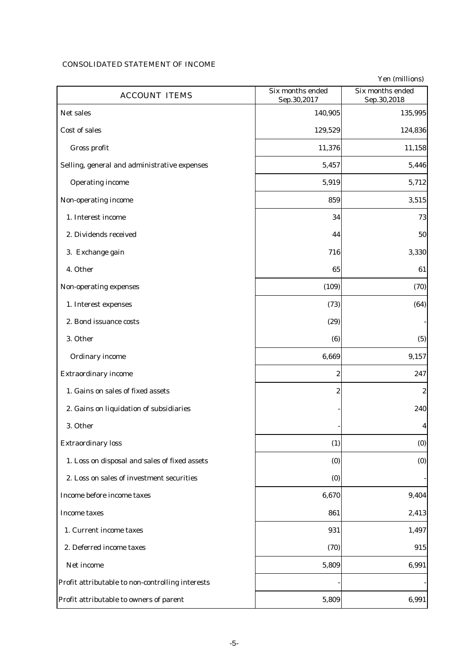# CONSOLIDATED STATEMENT OF INCOME

|                                                  |                                 | Yen (millions)                  |
|--------------------------------------------------|---------------------------------|---------------------------------|
| <b>ACCOUNT ITEMS</b>                             | Six months ended<br>Sep.30,2017 | Six months ended<br>Sep.30,2018 |
| Net sales                                        | 140,905                         | 135,995                         |
| Cost of sales                                    | 129,529                         | 124,836                         |
| Gross profit                                     | 11,376                          | 11,158                          |
| Selling, general and administrative expenses     | 5,457                           | 5,446                           |
| <b>Operating income</b>                          | 5,919                           | 5,712                           |
| Non-operating income                             | 859                             | 3,515                           |
| 1. Interest income                               | 34                              | 73                              |
| 2. Dividends received                            | 44                              | 50                              |
| 3. Exchange gain                                 | 716                             | 3,330                           |
| 4. Other                                         | 65                              | 61                              |
| Non-operating expenses                           | (109)                           | (70)                            |
| 1. Interest expenses                             | (73)                            | (64)                            |
| 2. Bond issuance costs                           | (29)                            |                                 |
| 3. Other                                         | (6)                             | (5)                             |
| <b>Ordinary income</b>                           | 6,669                           | 9,157                           |
| <b>Extraordinary income</b>                      | $\boldsymbol{2}$                | 247                             |
| 1. Gains on sales of fixed assets                | $\boldsymbol{2}$                | $\boldsymbol{2}$                |
| 2. Gains on liquidation of subsidiaries          |                                 | 240                             |
| 3. Other                                         |                                 | $\boldsymbol{4}$                |
| <b>Extraordinary loss</b>                        | (1)                             | (0)                             |
| 1. Loss on disposal and sales of fixed assets    | (0)                             | (0)                             |
| 2. Loss on sales of investment securities        | (0)                             |                                 |
| Income before income taxes                       | 6,670                           | 9,404                           |
| <b>Income taxes</b>                              | 861                             | 2,413                           |
| 1. Current income taxes                          | 931                             | 1,497                           |
| 2. Deferred income taxes                         | (70)                            | 915                             |
| Net income                                       | 5,809                           | 6,991                           |
| Profit attributable to non-controlling interests |                                 |                                 |
| Profit attributable to owners of parent          | 5,809                           | 6,991                           |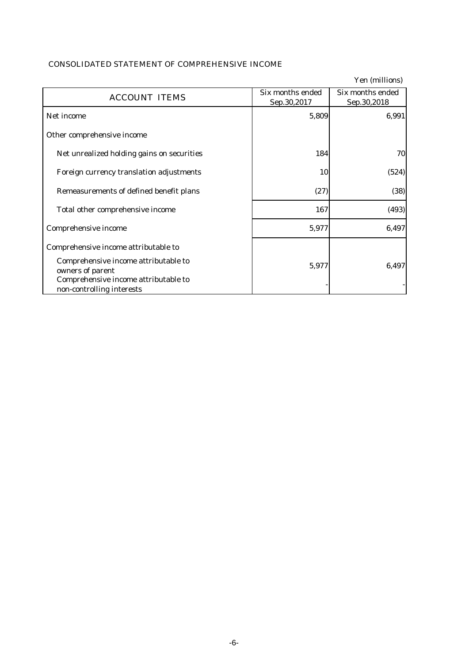# CONSOLIDATED STATEMENT OF COMPREHENSIVE INCOME

|                                                                                                                               |                                 | Yen (millions)                  |
|-------------------------------------------------------------------------------------------------------------------------------|---------------------------------|---------------------------------|
| <b>ACCOUNT ITEMS</b>                                                                                                          | Six months ended<br>Sep.30,2017 | Six months ended<br>Sep.30,2018 |
| Net income                                                                                                                    | 5,809                           | 6,991                           |
| Other comprehensive income                                                                                                    |                                 |                                 |
| Net unrealized holding gains on securities                                                                                    | 184                             | 70                              |
| Foreign currency translation adjustments                                                                                      | 10                              | (524)                           |
| Remeasurements of defined benefit plans                                                                                       | (27)                            | (38)                            |
| Total other comprehensive income                                                                                              | 167                             | (493)                           |
| Comprehensive income                                                                                                          | 5,977                           | 6,497                           |
| Comprehensive income attributable to                                                                                          |                                 |                                 |
| Comprehensive income attributable to<br>owners of parent<br>Comprehensive income attributable to<br>non-controlling interests | 5,977                           | 6,497                           |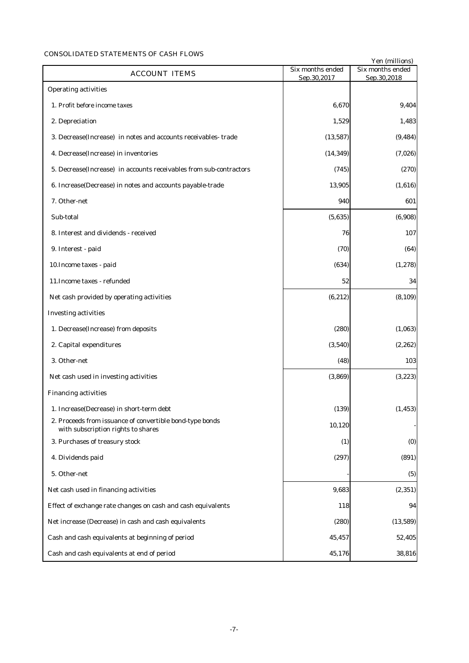### CONSOLIDATED STATEMENTS OF CASH FLOWS

|                                                                                                |                                 | Yen (millions)                  |
|------------------------------------------------------------------------------------------------|---------------------------------|---------------------------------|
| <b>ACCOUNT ITEMS</b>                                                                           | Six months ended<br>Sep.30,2017 | Six months ended<br>Sep.30,2018 |
| <b>Operating activities</b>                                                                    |                                 |                                 |
| 1. Profit before income taxes                                                                  | 6,670                           | 9,404                           |
| 2. Depreciation                                                                                | 1,529                           | 1,483                           |
| 3. Decrease (Increase) in notes and accounts receivables-trade                                 | (13, 587)                       | (9, 484)                        |
| 4. Decrease(Increase) in inventories                                                           | (14, 349)                       | (7,026)                         |
| 5. Decrease (Increase) in accounts receivables from sub-contractors                            | (745)                           | (270)                           |
| 6. Increase(Decrease) in notes and accounts payable-trade                                      | 13,905                          | (1,616)                         |
| 7. Other-net                                                                                   | 940                             | 601                             |
| Sub-total                                                                                      | (5,635)                         | (6,908)                         |
| 8. Interest and dividends - received                                                           | 76                              | 107                             |
| 9. Interest - paid                                                                             | (70)                            | (64)                            |
| 10. Income taxes - paid                                                                        | (634)                           | (1, 278)                        |
| 11. Income taxes - refunded                                                                    | 52                              | 34                              |
| Net cash provided by operating activities                                                      | (6, 212)                        | (8, 109)                        |
| <b>Investing activities</b>                                                                    |                                 |                                 |
| 1. Decrease(Increase) from deposits                                                            | (280)                           | (1,063)                         |
| 2. Capital expenditures                                                                        | (3,540)                         | (2, 262)                        |
| 3. Other-net                                                                                   | (48)                            | 103                             |
| Net cash used in investing activities                                                          | (3,869)                         | (3,223)                         |
| <b>Financing activities</b>                                                                    |                                 |                                 |
| 1. Increase(Decrease) in short-term debt                                                       | (139)                           | (1, 453)                        |
| 2. Proceeds from issuance of convertible bond-type bonds<br>with subscription rights to shares | 10,120                          |                                 |
| 3. Purchases of treasury stock                                                                 | (1)                             | (0)                             |
| 4. Dividends paid                                                                              | (297)                           | (891)                           |
| 5. Other-net                                                                                   |                                 | (5)                             |
| Net cash used in financing activities                                                          | 9,683                           | (2, 351)                        |
| Effect of exchange rate changes on cash and cash equivalents                                   | 118                             | 94                              |
| Net increase (Decrease) in cash and cash equivalents                                           | (280)                           | (13, 589)                       |
| Cash and cash equivalents at beginning of period                                               | 45,457                          | 52,405                          |
| Cash and cash equivalents at end of period                                                     | 45,176                          | 38,816                          |